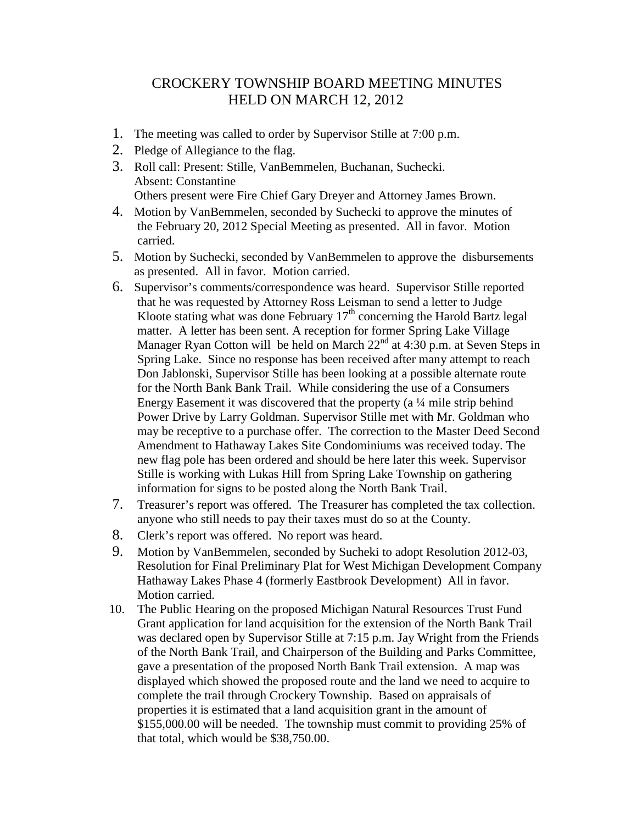## CROCKERY TOWNSHIP BOARD MEETING MINUTES HELD ON MARCH 12, 2012

- 1. The meeting was called to order by Supervisor Stille at 7:00 p.m.
- 2. Pledge of Allegiance to the flag.
- 3. Roll call: Present: Stille, VanBemmelen, Buchanan, Suchecki. Absent: Constantine Others present were Fire Chief Gary Dreyer and Attorney James Brown.
- 4. Motion by VanBemmelen, seconded by Suchecki to approve the minutes of the February 20, 2012 Special Meeting as presented. All in favor. Motion carried.
- 5. Motion by Suchecki, seconded by VanBemmelen to approve the disbursements as presented. All in favor. Motion carried.
- 6. Supervisor's comments/correspondence was heard. Supervisor Stille reported that he was requested by Attorney Ross Leisman to send a letter to Judge Kloote stating what was done February  $17<sup>th</sup>$  concerning the Harold Bartz legal matter. A letter has been sent. A reception for former Spring Lake Village Manager Ryan Cotton will be held on March  $22<sup>nd</sup>$  at 4:30 p.m. at Seven Steps in Spring Lake. Since no response has been received after many attempt to reach Don Jablonski, Supervisor Stille has been looking at a possible alternate route for the North Bank Bank Trail. While considering the use of a Consumers Energy Easement it was discovered that the property (a ¼ mile strip behind Power Drive by Larry Goldman. Supervisor Stille met with Mr. Goldman who may be receptive to a purchase offer. The correction to the Master Deed Second Amendment to Hathaway Lakes Site Condominiums was received today. The new flag pole has been ordered and should be here later this week. Supervisor Stille is working with Lukas Hill from Spring Lake Township on gathering information for signs to be posted along the North Bank Trail.
- 7. Treasurer's report was offered. The Treasurer has completed the tax collection. anyone who still needs to pay their taxes must do so at the County.
- 8. Clerk's report was offered. No report was heard.
- 9. Motion by VanBemmelen, seconded by Sucheki to adopt Resolution 2012-03, Resolution for Final Preliminary Plat for West Michigan Development Company Hathaway Lakes Phase 4 (formerly Eastbrook Development) All in favor. Motion carried.
- 10. The Public Hearing on the proposed Michigan Natural Resources Trust Fund Grant application for land acquisition for the extension of the North Bank Trail was declared open by Supervisor Stille at 7:15 p.m. Jay Wright from the Friends of the North Bank Trail, and Chairperson of the Building and Parks Committee, gave a presentation of the proposed North Bank Trail extension. A map was displayed which showed the proposed route and the land we need to acquire to complete the trail through Crockery Township. Based on appraisals of properties it is estimated that a land acquisition grant in the amount of \$155,000.00 will be needed. The township must commit to providing 25% of that total, which would be \$38,750.00.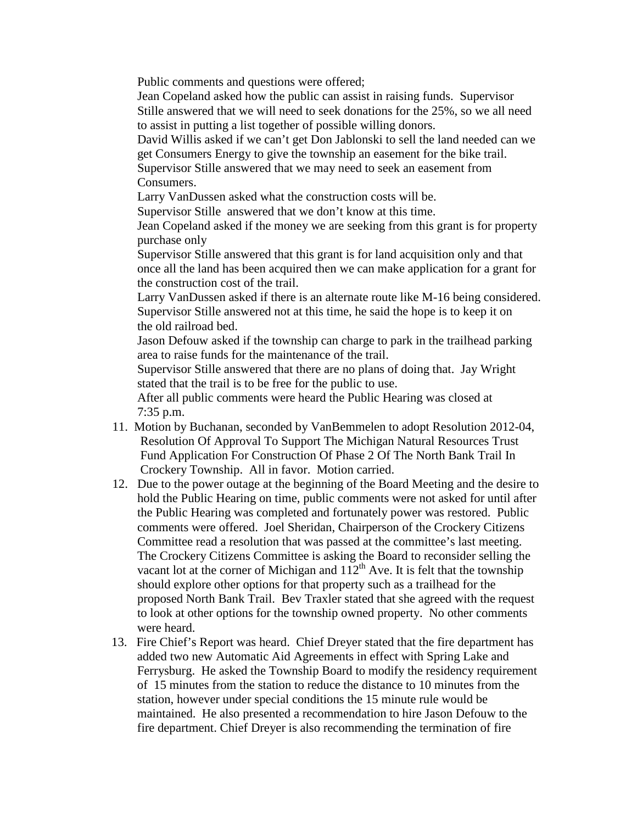Public comments and questions were offered;

 Jean Copeland asked how the public can assist in raising funds. Supervisor Stille answered that we will need to seek donations for the 25%, so we all need to assist in putting a list together of possible willing donors.

 David Willis asked if we can't get Don Jablonski to sell the land needed can we get Consumers Energy to give the township an easement for the bike trail. Supervisor Stille answered that we may need to seek an easement from Consumers.

Larry VanDussen asked what the construction costs will be.

Supervisor Stille answered that we don't know at this time.

 Jean Copeland asked if the money we are seeking from this grant is for property purchase only

 Supervisor Stille answered that this grant is for land acquisition only and that once all the land has been acquired then we can make application for a grant for the construction cost of the trail.

 Larry VanDussen asked if there is an alternate route like M-16 being considered. Supervisor Stille answered not at this time, he said the hope is to keep it on the old railroad bed.

 Jason Defouw asked if the township can charge to park in the trailhead parking area to raise funds for the maintenance of the trail.

 Supervisor Stille answered that there are no plans of doing that. Jay Wright stated that the trail is to be free for the public to use.

 After all public comments were heard the Public Hearing was closed at 7:35 p.m.

- 11. Motion by Buchanan, seconded by VanBemmelen to adopt Resolution 2012-04, Resolution Of Approval To Support The Michigan Natural Resources Trust Fund Application For Construction Of Phase 2 Of The North Bank Trail In Crockery Township. All in favor. Motion carried.
- 12. Due to the power outage at the beginning of the Board Meeting and the desire to hold the Public Hearing on time, public comments were not asked for until after the Public Hearing was completed and fortunately power was restored. Public comments were offered. Joel Sheridan, Chairperson of the Crockery Citizens Committee read a resolution that was passed at the committee's last meeting. The Crockery Citizens Committee is asking the Board to reconsider selling the vacant lot at the corner of Michigan and  $112<sup>th</sup>$  Ave. It is felt that the township should explore other options for that property such as a trailhead for the proposed North Bank Trail. Bev Traxler stated that she agreed with the request to look at other options for the township owned property. No other comments were heard.
- 13. Fire Chief's Report was heard. Chief Dreyer stated that the fire department has added two new Automatic Aid Agreements in effect with Spring Lake and Ferrysburg. He asked the Township Board to modify the residency requirement of 15 minutes from the station to reduce the distance to 10 minutes from the station, however under special conditions the 15 minute rule would be maintained. He also presented a recommendation to hire Jason Defouw to the fire department. Chief Dreyer is also recommending the termination of fire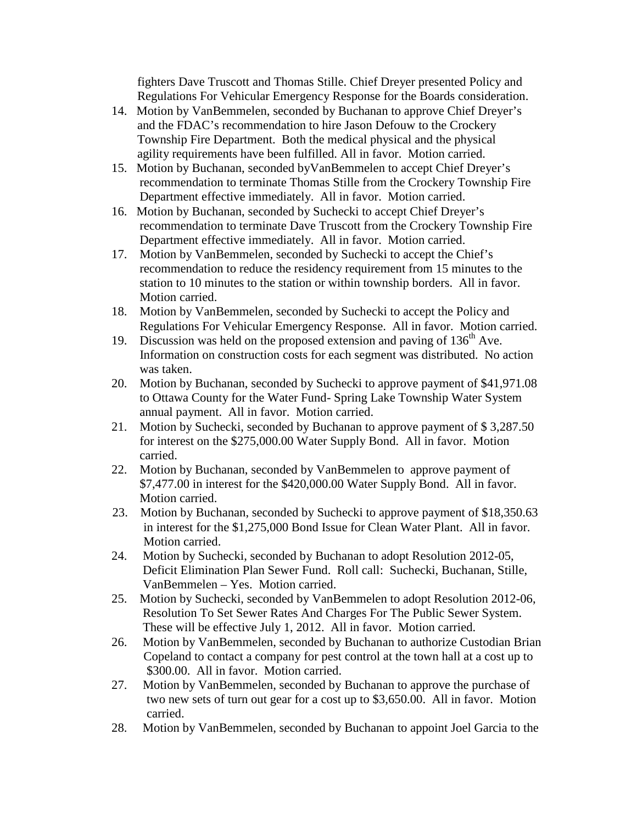fighters Dave Truscott and Thomas Stille. Chief Dreyer presented Policy and Regulations For Vehicular Emergency Response for the Boards consideration.

- 14. Motion by VanBemmelen, seconded by Buchanan to approve Chief Dreyer's and the FDAC's recommendation to hire Jason Defouw to the Crockery Township Fire Department. Both the medical physical and the physical agility requirements have been fulfilled. All in favor. Motion carried.
- 15. Motion by Buchanan, seconded byVanBemmelen to accept Chief Dreyer's recommendation to terminate Thomas Stille from the Crockery Township Fire Department effective immediately. All in favor. Motion carried.
- 16. Motion by Buchanan, seconded by Suchecki to accept Chief Dreyer's recommendation to terminate Dave Truscott from the Crockery Township Fire Department effective immediately. All in favor. Motion carried.
- 17. Motion by VanBemmelen, seconded by Suchecki to accept the Chief's recommendation to reduce the residency requirement from 15 minutes to the station to 10 minutes to the station or within township borders. All in favor. Motion carried.
- 18. Motion by VanBemmelen, seconded by Suchecki to accept the Policy and Regulations For Vehicular Emergency Response. All in favor. Motion carried.
- 19. Discussion was held on the proposed extension and paving of  $136<sup>th</sup>$  Ave. Information on construction costs for each segment was distributed. No action was taken.
- 20. Motion by Buchanan, seconded by Suchecki to approve payment of \$41,971.08 to Ottawa County for the Water Fund- Spring Lake Township Water System annual payment. All in favor. Motion carried.
- 21. Motion by Suchecki, seconded by Buchanan to approve payment of \$ 3,287.50 for interest on the \$275,000.00 Water Supply Bond. All in favor. Motion carried.
- 22. Motion by Buchanan, seconded by VanBemmelen to approve payment of \$7,477.00 in interest for the \$420,000.00 Water Supply Bond. All in favor. Motion carried.
- 23. Motion by Buchanan, seconded by Suchecki to approve payment of \$18,350.63 in interest for the \$1,275,000 Bond Issue for Clean Water Plant. All in favor. Motion carried.
- 24. Motion by Suchecki, seconded by Buchanan to adopt Resolution 2012-05, Deficit Elimination Plan Sewer Fund. Roll call: Suchecki, Buchanan, Stille, VanBemmelen – Yes. Motion carried.
- 25. Motion by Suchecki, seconded by VanBemmelen to adopt Resolution 2012-06, Resolution To Set Sewer Rates And Charges For The Public Sewer System. These will be effective July 1, 2012. All in favor. Motion carried.
- 26. Motion by VanBemmelen, seconded by Buchanan to authorize Custodian Brian Copeland to contact a company for pest control at the town hall at a cost up to \$300.00. All in favor. Motion carried.
- 27. Motion by VanBemmelen, seconded by Buchanan to approve the purchase of two new sets of turn out gear for a cost up to \$3,650.00. All in favor. Motion carried.
- 28. Motion by VanBemmelen, seconded by Buchanan to appoint Joel Garcia to the